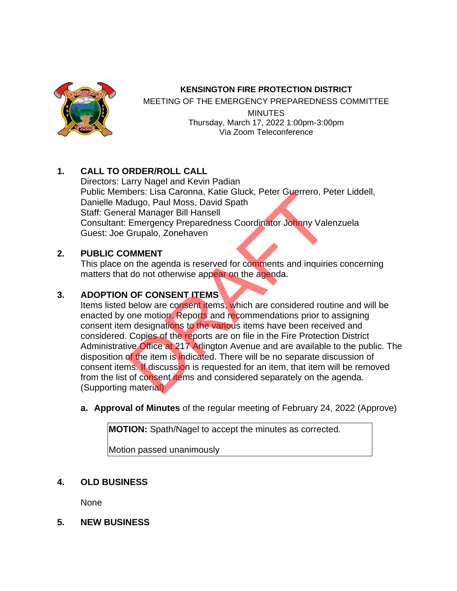

#### **KENSINGTON FIRE PROTECTION DISTRICT**

MEETING OF THE EMERGENCY PREPAREDNESS COMMITTEE **MINUTES** Thursday, March 17, 2022 1:00pm-3:00pm Via Zoom Teleconference

# **1. CALL TO ORDER/ROLL CALL**

Directors: Larry Nagel and Kevin Padian Public Members: Lisa Caronna, Katie Gluck, Peter Guerrero, Peter Liddell, Danielle Madugo, Paul Moss, David Spath Staff: General Manager Bill Hansell Consultant: Emergency Preparedness Coordinator Johnny Valenzuela Guest: Joe Grupalo, Zonehaven

## **2. PUBLIC COMMENT**

This place on the agenda is reserved for comments and inquiries concerning matters that do not otherwise appear on the agenda.

# **3. ADOPTION OF CONSENT ITEMS**

Items listed below are consent items, which are considered routine and will be enacted by one motion. Reports and recommendations prior to assigning consent item designations to the various items have been received and considered. Copies of the reports are on file in the Fire Protection District Administrative Office at 217 Arlington Avenue and are available to the public. The disposition of the item is indicated. There will be no separate discussion of consent items. If discussion is requested for an item, that item will be removed from the list of consent items and considered separately on the agenda. (Supporting material) Dets. Lisa Catolina, Katie Gluck, Peter Guerrero, Protogo, Paul Moss, David Spath<br>Transport Sill Hansell<br>Emergency Preparedness Coordinator Johnny Vale<br>Grupalo, Zonehaven<br>DMMENT<br>In the agenda is reserved for comments and i

**a. Approval of Minutes** of the regular meeting of February 24, 2022 (Approve)

**MOTION:** Spath/Nagel to accept the minutes as corrected.

Motion passed unanimously

**4. OLD BUSINESS**

None

**5. NEW BUSINESS**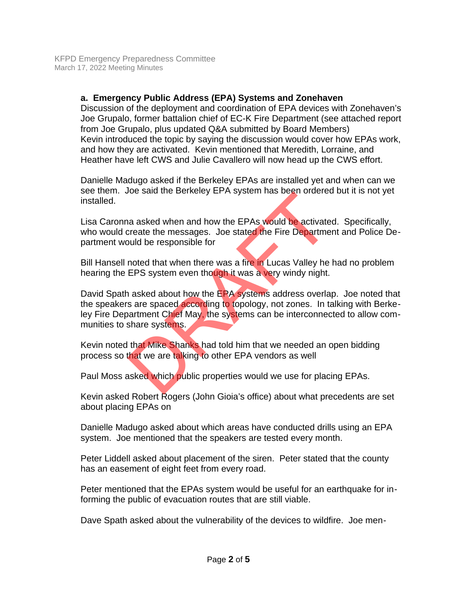### **a. Emergency Public Address (EPA) Systems and Zonehaven**

Discussion of the deployment and coordination of EPA devices with Zonehaven's Joe Grupalo, former battalion chief of EC-K Fire Department (see attached report from Joe Grupalo, plus updated Q&A submitted by Board Members) Kevin introduced the topic by saying the discussion would cover how EPAs work, and how they are activated. Kevin mentioned that Meredith, Lorraine, and Heather have left CWS and Julie Cavallero will now head up the CWS effort.

Danielle Madugo asked if the Berkeley EPAs are installed yet and when can we see them. Joe said the Berkeley EPA system has been ordered but it is not yet installed.

Lisa Caronna asked when and how the EPAs would be activated. Specifically, who would create the messages. Joe stated the Fire Department and Police Department would be responsible for

Bill Hansell noted that when there was a fire in Lucas Valley he had no problem hearing the EPS system even though it was a very windy night.

David Spath asked about how the EPA systems address overlap. Joe noted that the speakers are spaced according to topology, not zones. In talking with Berkeley Fire Department Chief May, the systems can be interconnected to allow communities to share systems. the same the Benkeley LPA system has been ondered<br>a a asked when and how the EPAs would be activate<br>create the messages. Joe stated the Fire Departme<br>build be responsible for<br>noted that when there was a fire in Lucas Valle

Kevin noted that Mike Shanks had told him that we needed an open bidding process so that we are talking to other EPA vendors as well

Paul Moss asked which public properties would we use for placing EPAs.

Kevin asked Robert Rogers (John Gioia's office) about what precedents are set about placing EPAs on

Danielle Madugo asked about which areas have conducted drills using an EPA system. Joe mentioned that the speakers are tested every month.

Peter Liddell asked about placement of the siren. Peter stated that the county has an easement of eight feet from every road.

Peter mentioned that the EPAs system would be useful for an earthquake for informing the public of evacuation routes that are still viable.

Dave Spath asked about the vulnerability of the devices to wildfire. Joe men-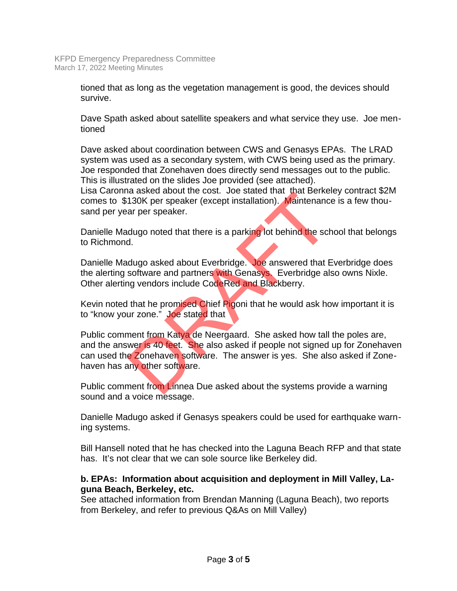tioned that as long as the vegetation management is good, the devices should survive.

Dave Spath asked about satellite speakers and what service they use. Joe mentioned

Dave asked about coordination between CWS and Genasys EPAs. The LRAD system was used as a secondary system, with CWS being used as the primary. Joe responded that Zonehaven does directly send messages out to the public. This is illustrated on the slides Joe provided (see attached).

Lisa Caronna asked about the cost. Joe stated that that Berkeley contract \$2M comes to \$130K per speaker (except installation). Maintenance is a few thousand per year per speaker.

Danielle Madugo noted that there is a parking lot behind the school that belongs to Richmond.

Danielle Madugo asked about Everbridge. Joe answered that Everbridge does the alerting software and partners with Genasys. Everbridge also owns Nixle. Other alerting vendors include CodeRed and Blackberry.

Kevin noted that he promised Chief Pigoni that he would ask how important it is to "know your zone." Joe stated that

Public comment from Katya de Neergaard. She asked how tall the poles are, and the answer is 40 feet. She also asked if people not signed up for Zonehaven can used the Zonehaven software. The answer is yes. She also asked if Zonehaven has any other software. a asked about the cost. Joe stated that that berke<br>130K per speaker (except installation). Maintenanc<br>ar per speaker.<br>dugo noted that there is a parking lot behind the sch<br>d.<br>dugo asked about Everbridge. Joe answered that

Public comment from Linnea Due asked about the systems provide a warning sound and a voice message.

Danielle Madugo asked if Genasys speakers could be used for earthquake warning systems.

Bill Hansell noted that he has checked into the Laguna Beach RFP and that state has. It's not clear that we can sole source like Berkeley did.

## **b. EPAs: Information about acquisition and deployment in Mill Valley, Laguna Beach, Berkeley, etc.**

See attached information from Brendan Manning (Laguna Beach), two reports from Berkeley, and refer to previous Q&As on Mill Valley)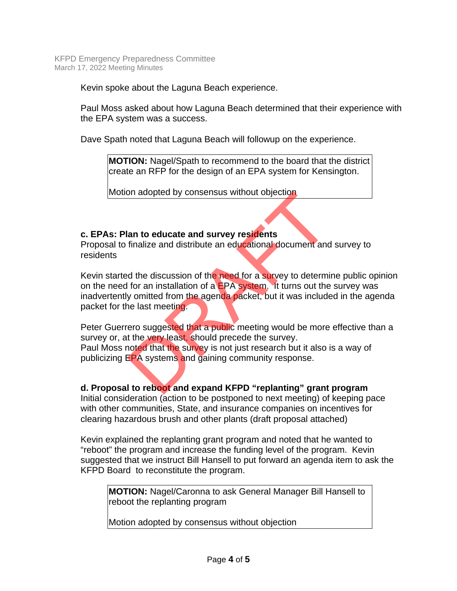Kevin spoke about the Laguna Beach experience.

Paul Moss asked about how Laguna Beach determined that their experience with the EPA system was a success.

Dave Spath noted that Laguna Beach will followup on the experience.

**MOTION:** Nagel/Spath to recommend to the board that the district create an RFP for the design of an EPA system for Kensington.

Motion adopted by consensus without objection

#### **c. EPAs: Plan to educate and survey residents**

Proposal to finalize and distribute an educational document and survey to residents

Kevin started the discussion of the need for a survey to determine public opinion on the need for an installation of a EPA system. It turns out the survey was inadvertently omitted from the agenda packet, but it was included in the agenda packet for the last meeting. In adopted by consensus without objection<br>an to educate and survey residents<br>finalize and distribute an educational document and<br>d the discussion of the need for a survey to determi<br>for an installation of a EPA system. It

Peter Guerrero suggested that a public meeting would be more effective than a survey or, at the very least, should precede the survey. Paul Moss noted that the survey is not just research but it also is a way of publicizing EPA systems and gaining community response.

**d. Proposal to reboot and expand KFPD "replanting" grant program** Initial consideration (action to be postponed to next meeting) of keeping pace with other communities, State, and insurance companies on incentives for clearing hazardous brush and other plants (draft proposal attached)

Kevin explained the replanting grant program and noted that he wanted to "reboot" the program and increase the funding level of the program. Kevin suggested that we instruct Bill Hansell to put forward an agenda item to ask the KFPD Board to reconstitute the program.

**MOTION:** Nagel/Caronna to ask General Manager Bill Hansell to reboot the replanting program

Motion adopted by consensus without objection